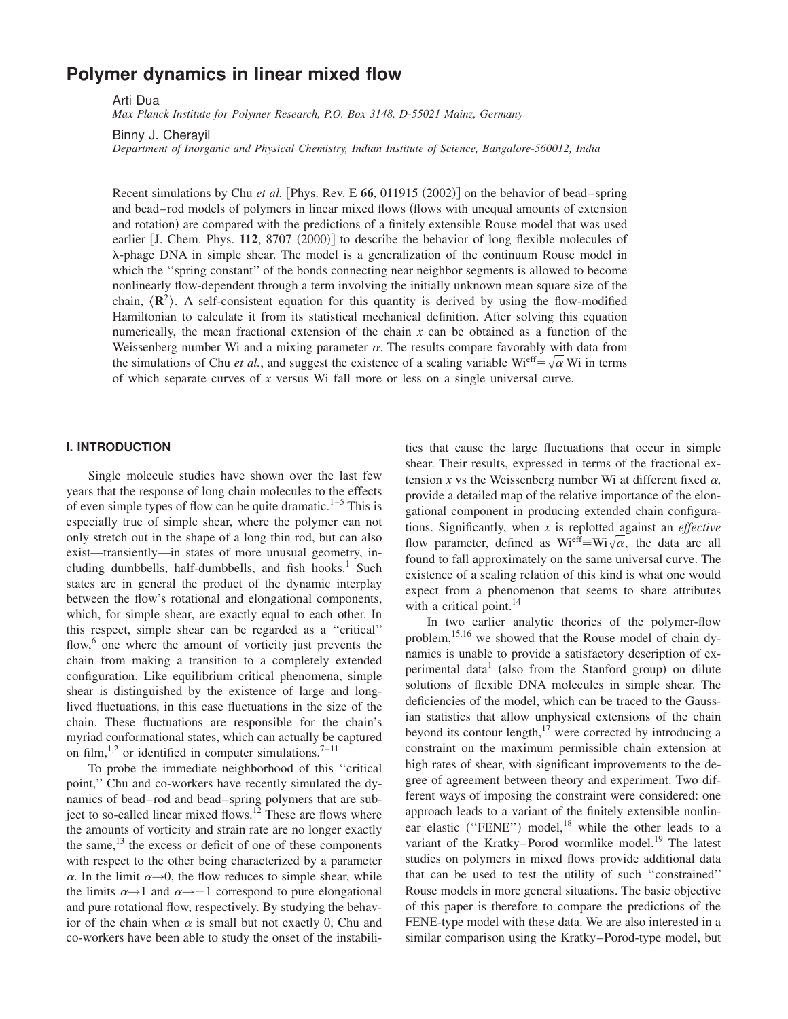# **Polymer dynamics in linear mixed flow**

Arti Dua

*Max Planck Institute for Polymer Research, P.O. Box 3148, D-55021 Mainz, Germany*

Binny J. Cherayil

*Department of Inorganic and Physical Chemistry, Indian Institute of Science, Bangalore-560012, India*

Recent simulations by Chu *et al.* [Phys. Rev. E  $66$ , 011915  $(2002)$ ] on the behavior of bead–spring and bead–rod models of polymers in linear mixed flows (flows with unequal amounts of extension and rotation) are compared with the predictions of a finitely extensible Rouse model that was used earlier [J. Chem. Phys. 112, 8707 (2000)] to describe the behavior of long flexible molecules of l-phage DNA in simple shear. The model is a generalization of the continuum Rouse model in which the ''spring constant'' of the bonds connecting near neighbor segments is allowed to become nonlinearly flow-dependent through a term involving the initially unknown mean square size of the chain,  $\langle \mathbf{R}^2 \rangle$ . A self-consistent equation for this quantity is derived by using the flow-modified Hamiltonian to calculate it from its statistical mechanical definition. After solving this equation numerically, the mean fractional extension of the chain *x* can be obtained as a function of the Weissenberg number Wi and a mixing parameter  $\alpha$ . The results compare favorably with data from the simulations of Chu *et al.*, and suggest the existence of a scaling variable  $W_i^{\text{eff}} = \sqrt{\alpha} W_i$  in terms of which separate curves of *x* versus Wi fall more or less on a single universal curve.

## **I. INTRODUCTION**

Single molecule studies have shown over the last few years that the response of long chain molecules to the effects of even simple types of flow can be quite dramatic.<sup>1–5</sup> This is especially true of simple shear, where the polymer can not only stretch out in the shape of a long thin rod, but can also exist—transiently—in states of more unusual geometry, including dumbbells, half-dumbbells, and fish hooks.<sup>1</sup> Such states are in general the product of the dynamic interplay between the flow's rotational and elongational components, which, for simple shear, are exactly equal to each other. In this respect, simple shear can be regarded as a ''critical'' flow,<sup>6</sup> one where the amount of vorticity just prevents the chain from making a transition to a completely extended configuration. Like equilibrium critical phenomena, simple shear is distinguished by the existence of large and longlived fluctuations, in this case fluctuations in the size of the chain. These fluctuations are responsible for the chain's myriad conformational states, which can actually be captured on film,<sup>1,2</sup> or identified in computer simulations.<sup>7–11</sup>

To probe the immediate neighborhood of this ''critical point,'' Chu and co-workers have recently simulated the dynamics of bead–rod and bead–spring polymers that are subject to so-called linear mixed flows.<sup>12</sup> These are flows where the amounts of vorticity and strain rate are no longer exactly the same,  $^{13}$  the excess or deficit of one of these components with respect to the other being characterized by a parameter  $\alpha$ . In the limit  $\alpha \rightarrow 0$ , the flow reduces to simple shear, while the limits  $\alpha \rightarrow 1$  and  $\alpha \rightarrow -1$  correspond to pure elongational and pure rotational flow, respectively. By studying the behavior of the chain when  $\alpha$  is small but not exactly 0, Chu and co-workers have been able to study the onset of the instabilities that cause the large fluctuations that occur in simple shear. Their results, expressed in terms of the fractional extension *x* vs the Weissenberg number Wi at different fixed  $\alpha$ , provide a detailed map of the relative importance of the elongational component in producing extended chain configurations. Significantly, when *x* is replotted against an *effective* flow parameter, defined as  $Wi<sup>eff</sup> = Wi<sub>\alpha</sub>$ , the data are all found to fall approximately on the same universal curve. The existence of a scaling relation of this kind is what one would expect from a phenomenon that seems to share attributes with a critical point. $^{14}$ 

In two earlier analytic theories of the polymer-flow problem,<sup>15,16</sup> we showed that the Rouse model of chain dynamics is unable to provide a satisfactory description of experimental data<sup>1</sup> (also from the Stanford group) on dilute solutions of flexible DNA molecules in simple shear. The deficiencies of the model, which can be traced to the Gaussian statistics that allow unphysical extensions of the chain beyond its contour length, $17$  were corrected by introducing a constraint on the maximum permissible chain extension at high rates of shear, with significant improvements to the degree of agreement between theory and experiment. Two different ways of imposing the constraint were considered: one approach leads to a variant of the finitely extensible nonlinear elastic ("FENE") model,<sup>18</sup> while the other leads to a variant of the Kratky–Porod wormlike model.<sup>19</sup> The latest studies on polymers in mixed flows provide additional data that can be used to test the utility of such ''constrained'' Rouse models in more general situations. The basic objective of this paper is therefore to compare the predictions of the FENE-type model with these data. We are also interested in a similar comparison using the Kratky–Porod-type model, but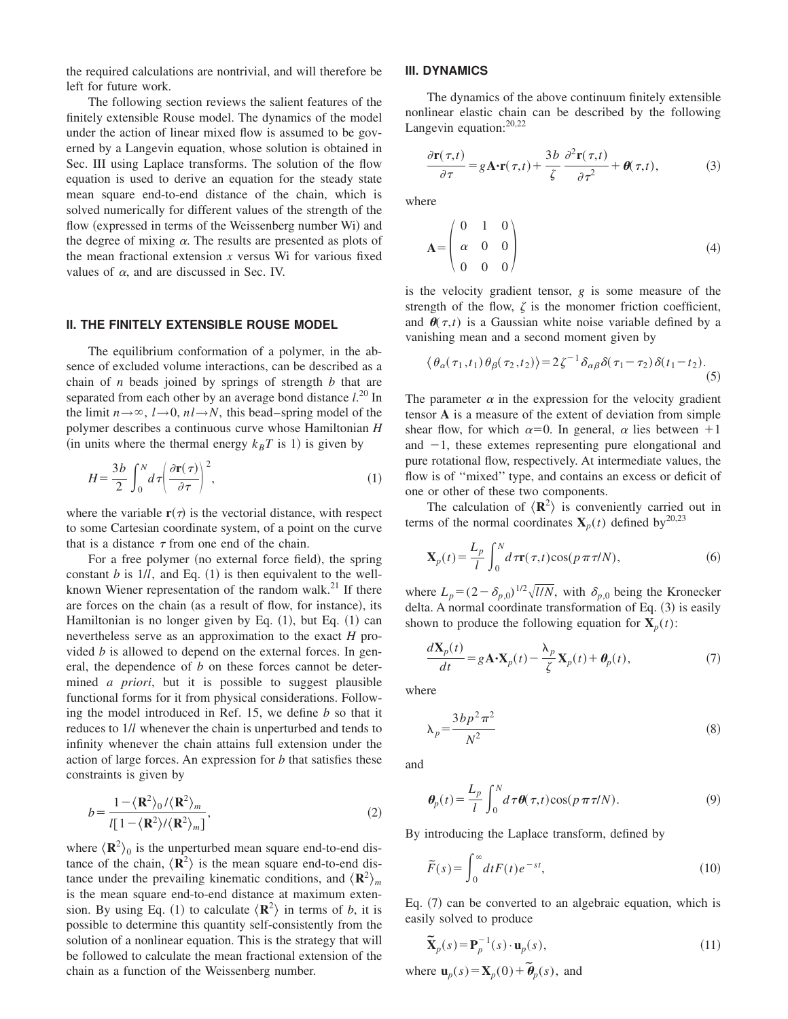the required calculations are nontrivial, and will therefore be left for future work.

The following section reviews the salient features of the finitely extensible Rouse model. The dynamics of the model under the action of linear mixed flow is assumed to be governed by a Langevin equation, whose solution is obtained in Sec. III using Laplace transforms. The solution of the flow equation is used to derive an equation for the steady state mean square end-to-end distance of the chain, which is solved numerically for different values of the strength of the flow (expressed in terms of the Weissenberg number Wi) and the degree of mixing  $\alpha$ . The results are presented as plots of the mean fractional extension *x* versus Wi for various fixed values of  $\alpha$ , and are discussed in Sec. IV.

#### **II. THE FINITELY EXTENSIBLE ROUSE MODEL**

The equilibrium conformation of a polymer, in the absence of excluded volume interactions, can be described as a chain of *n* beads joined by springs of strength *b* that are separated from each other by an average bond distance *l*. <sup>20</sup> In the limit  $n \rightarrow \infty$ ,  $l \rightarrow 0$ ,  $nl \rightarrow N$ , this bead–spring model of the polymer describes a continuous curve whose Hamiltonian *H* (in units where the thermal energy  $k_B T$  is 1) is given by

$$
H = \frac{3b}{2} \int_0^N d\tau \left(\frac{\partial \mathbf{r}(\tau)}{\partial \tau}\right)^2,\tag{1}
$$

where the variable  $\mathbf{r}(\tau)$  is the vectorial distance, with respect to some Cartesian coordinate system, of a point on the curve that is a distance  $\tau$  from one end of the chain.

For a free polymer (no external force field), the spring constant  $b$  is  $1/l$ , and Eq.  $(1)$  is then equivalent to the wellknown Wiener representation of the random walk.<sup>21</sup> If there are forces on the chain (as a result of flow, for instance), its Hamiltonian is no longer given by Eq.  $(1)$ , but Eq.  $(1)$  can nevertheless serve as an approximation to the exact *H* provided *b* is allowed to depend on the external forces. In general, the dependence of *b* on these forces cannot be determined *a priori*, but it is possible to suggest plausible functional forms for it from physical considerations. Following the model introduced in Ref. 15, we define *b* so that it reduces to 1/*l* whenever the chain is unperturbed and tends to infinity whenever the chain attains full extension under the action of large forces. An expression for *b* that satisfies these constraints is given by

$$
b = \frac{1 - \langle \mathbf{R}^2 \rangle_0 / \langle \mathbf{R}^2 \rangle_m}{l[1 - \langle \mathbf{R}^2 \rangle / \langle \mathbf{R}^2 \rangle_m]},
$$
(2)

where  $\langle \mathbf{R}^2 \rangle_0$  is the unperturbed mean square end-to-end distance of the chain,  $\langle \mathbf{R}^2 \rangle$  is the mean square end-to-end distance under the prevailing kinematic conditions, and  $\langle \mathbf{R}^2 \rangle_m$ is the mean square end-to-end distance at maximum extension. By using Eq. (1) to calculate  $\langle \mathbf{R}^2 \rangle$  in terms of *b*, it is possible to determine this quantity self-consistently from the solution of a nonlinear equation. This is the strategy that will be followed to calculate the mean fractional extension of the chain as a function of the Weissenberg number.

#### **III. DYNAMICS**

The dynamics of the above continuum finitely extensible nonlinear elastic chain can be described by the following Langevin equation:<sup>20,22</sup>

$$
\frac{\partial \mathbf{r}(\tau,t)}{\partial \tau} = g \mathbf{A} \cdot \mathbf{r}(\tau,t) + \frac{3b}{\zeta} \frac{\partial^2 \mathbf{r}(\tau,t)}{\partial \tau^2} + \theta(\tau,t),\tag{3}
$$

where

$$
\mathbf{A} = \begin{pmatrix} 0 & 1 & 0 \\ \alpha & 0 & 0 \\ 0 & 0 & 0 \end{pmatrix}
$$
 (4)

is the velocity gradient tensor, *g* is some measure of the strength of the flow,  $\zeta$  is the monomer friction coefficient, and  $\theta(\tau,t)$  is a Gaussian white noise variable defined by a vanishing mean and a second moment given by

$$
\langle \theta_{\alpha}(\tau_1, t_1) \theta_{\beta}(\tau_2, t_2) \rangle = 2 \zeta^{-1} \delta_{\alpha\beta} \delta(\tau_1 - \tau_2) \delta(t_1 - t_2).
$$
\n(5)

The parameter  $\alpha$  in the expression for the velocity gradient tensor **A** is a measure of the extent of deviation from simple shear flow, for which  $\alpha=0$ . In general,  $\alpha$  lies between +1 and  $-1$ , these extemes representing pure elongational and pure rotational flow, respectively. At intermediate values, the flow is of ''mixed'' type, and contains an excess or deficit of one or other of these two components.

The calculation of  $\langle \mathbf{R}^2 \rangle$  is conveniently carried out in terms of the normal coordinates  $\mathbf{X}_p(t)$  defined by<sup>20,23</sup>

$$
\mathbf{X}_p(t) = \frac{L_p}{l} \int_0^N d\,\pi(\tau, t) \cos(p\,\pi\,\tau/N),\tag{6}
$$

where  $L_p = (2 - \delta_{p,0})^{1/2} \sqrt{l/N}$ , with  $\delta_{p,0}$  being the Kronecker delta. A normal coordinate transformation of Eq.  $(3)$  is easily shown to produce the following equation for  $\mathbf{X}_p(t)$ :

$$
\frac{d\mathbf{X}_p(t)}{dt} = g\mathbf{A} \cdot \mathbf{X}_p(t) - \frac{\lambda_p}{\zeta} \mathbf{X}_p(t) + \boldsymbol{\theta}_p(t),\tag{7}
$$

where

$$
\lambda_p = \frac{3bp^2 \pi^2}{N^2} \tag{8}
$$

and

$$
\boldsymbol{\theta}_p(t) = \frac{L_p}{l} \int_0^N d\,\tau \boldsymbol{\theta}(\tau, t) \cos(p\,\pi\,\tau/N). \tag{9}
$$

By introducing the Laplace transform, defined by

$$
\widetilde{F}(s) = \int_0^\infty dt F(t) e^{-st},\tag{10}
$$

Eq.  $(7)$  can be converted to an algebraic equation, which is easily solved to produce

$$
\widetilde{\mathbf{X}}_p(s) = \mathbf{P}_p^{-1}(s) \cdot \mathbf{u}_p(s),\tag{11}
$$

where  $\mathbf{u}_p(s) = \mathbf{X}_p(0) + \tilde{\boldsymbol{\theta}}_p(s)$ , and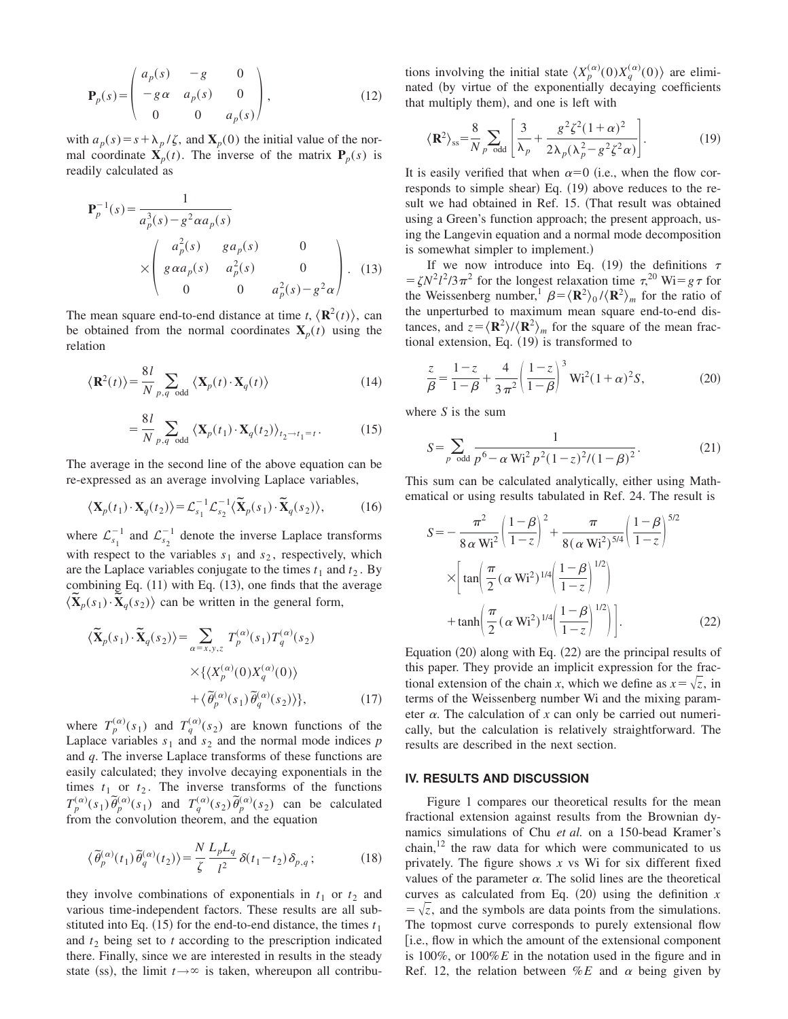$$
\mathbf{P}_p(s) = \begin{pmatrix} a_p(s) & -g & 0 \\ -g\alpha & a_p(s) & 0 \\ 0 & 0 & a_p(s) \end{pmatrix},
$$
(12)

with  $a_p(s) = s + \lambda_p/\zeta$ , and  $\mathbf{X}_p(0)$  the initial value of the normal coordinate  $\mathbf{X}_p(t)$ . The inverse of the matrix  $\mathbf{P}_p(s)$  is readily calculated as

$$
\mathbf{P}_p^{-1}(s) = \frac{1}{a_p^3(s) - g^2 \alpha a_p(s)}
$$
\n
$$
\times \begin{pmatrix} a_p^2(s) & g a_p(s) & 0\\ g \alpha a_p(s) & a_p^2(s) & 0\\ 0 & 0 & a_p^2(s) - g^2 \alpha \end{pmatrix} . \tag{13}
$$

The mean square end-to-end distance at time  $t$ ,  $\langle \mathbf{R}^2(t) \rangle$ , can be obtained from the normal coordinates  $X_p(t)$  using the relation

$$
\langle \mathbf{R}^2(t) \rangle = \frac{8l}{N} \sum_{p,q \text{ odd}} \langle \mathbf{X}_p(t) \cdot \mathbf{X}_q(t) \rangle \tag{14}
$$

$$
= \frac{8l}{N} \sum_{p,q \text{ odd}} \left\langle \mathbf{X}_p(t_1) \cdot \mathbf{X}_q(t_2) \right\rangle_{t_2 \to t_1 = t}.
$$
 (15)

The average in the second line of the above equation can be re-expressed as an average involving Laplace variables,

$$
\langle \mathbf{X}_p(t_1) \cdot \mathbf{X}_q(t_2) \rangle = \mathcal{L}_{s_1}^{-1} \mathcal{L}_{s_2}^{-1} \langle \widetilde{\mathbf{X}}_p(s_1) \cdot \widetilde{\mathbf{X}}_q(s_2) \rangle, \tag{16}
$$

where  $\mathcal{L}_{s_1}^ \int_{s_1}^{-1}$  and  $\mathcal{L}_{s_2}^{-}$  $\frac{-1}{s_0}$  denote the inverse Laplace transforms with respect to the variables  $s_1$  and  $s_2$ , respectively, which are the Laplace variables conjugate to the times  $t_1$  and  $t_2$ . By combining Eq.  $(11)$  with Eq.  $(13)$ , one finds that the average combining Eq. (11) with Eq. (13), one finds that the  $\langle \widetilde{\mathbf{X}}_p(s_1) \cdot \widetilde{\mathbf{X}}_q(s_2) \rangle$  can be written in the general form,

$$
\langle \widetilde{\mathbf{X}}_p(s_1) \cdot \widetilde{\mathbf{X}}_q(s_2) \rangle = \sum_{\alpha = x, y, z} T_p^{(\alpha)}(s_1) T_q^{(\alpha)}(s_2)
$$

$$
\times \{ \langle X_p^{(\alpha)}(0) X_q^{(\alpha)}(0) \rangle + \langle \widetilde{\theta}_p^{(\alpha)}(s_1) \widetilde{\theta}_q^{(\alpha)}(s_2) \rangle \}, \tag{17}
$$

where  $T_p^{(\alpha)}(s_1)$  and  $T_q^{(\alpha)}(s_2)$  are known functions of the Laplace variables  $s_1$  and  $s_2$  and the normal mode indices  $p$ and *q*. The inverse Laplace transforms of these functions are easily calculated; they involve decaying exponentials in the times  $t_1$  or  $t_2$ . The inverse transforms of the functions  $T_p^{(\alpha)}(s_1) \tilde{\theta}_p^{(\alpha)}(s_1)$  and  $T_q^{(\alpha)}(s_2) \tilde{\theta}_p^{(\alpha)}(s_2)$  can be calculated from the convolution theorem, and the equation

$$
\langle \tilde{\theta}_p^{(\alpha)}(t_1) \tilde{\theta}_q^{(\alpha)}(t_2) \rangle = \frac{N}{\zeta} \frac{L_p L_q}{l^2} \delta(t_1 - t_2) \delta_{p,q};\tag{18}
$$

they involve combinations of exponentials in  $t_1$  or  $t_2$  and various time-independent factors. These results are all substituted into Eq.  $(15)$  for the end-to-end distance, the times  $t_1$ and  $t_2$  being set to  $t$  according to the prescription indicated there. Finally, since we are interested in results in the steady state (ss), the limit  $t \rightarrow \infty$  is taken, whereupon all contribu-

tions involving the initial state  $\langle X_p^{(\alpha)}(0)X_q^{(\alpha)}(0)\rangle$  are eliminated (by virtue of the exponentially decaying coefficients that multiply them), and one is left with

$$
\langle \mathbf{R}^2 \rangle_{\rm ss} = \frac{8}{N} \sum_{p \text{ odd}} \left[ \frac{3}{\lambda_p} + \frac{g^2 \zeta^2 (1 + \alpha)^2}{2 \lambda_p (\lambda_p^2 - g^2 \zeta^2 \alpha)} \right]. \tag{19}
$$

It is easily verified that when  $\alpha=0$  (i.e., when the flow corresponds to simple shear) Eq.  $(19)$  above reduces to the result we had obtained in Ref. 15. (That result was obtained using a Green's function approach; the present approach, using the Langevin equation and a normal mode decomposition is somewhat simpler to implement.)

If we now introduce into Eq. (19) the definitions  $\tau$  $\epsilon = \zeta N^2 l^2 / 3 \pi^2$  for the longest relaxation time  $\tau^{20}$  Wi=  $g \tau$  for the Weissenberg number,<sup>1</sup>  $\beta = \langle \mathbf{R}^2 \rangle_0 / \langle \mathbf{R}^2 \rangle_m$  for the ratio of the unperturbed to maximum mean square end-to-end distances, and  $z = \langle \mathbf{R}^2 \rangle / \langle \mathbf{R}^2 \rangle_m$  for the square of the mean fractional extension, Eq.  $(19)$  is transformed to

$$
\frac{z}{\beta} = \frac{1-z}{1-\beta} + \frac{4}{3\pi^2} \left(\frac{1-z}{1-\beta}\right)^3 \text{Wi}^2 (1+\alpha)^2 S,
$$
 (20)

where *S* is the sum

$$
S = \sum_{p \text{ odd}} \frac{1}{p^6 - \alpha W i^2 p^2 (1 - z)^2 / (1 - \beta)^2}.
$$
 (21)

This sum can be calculated analytically, either using Mathematical or using results tabulated in Ref. 24. The result is

$$
S = -\frac{\pi^2}{8 \alpha W i^2} \left( \frac{1 - \beta}{1 - z} \right)^2 + \frac{\pi}{8 (\alpha W i^2)^{5/4}} \left( \frac{1 - \beta}{1 - z} \right)^{5/2}
$$

$$
\times \left[ \tan \left( \frac{\pi}{2} (\alpha W i^2)^{1/4} \left( \frac{1 - \beta}{1 - z} \right)^{1/2} \right) + \tanh \left( \frac{\pi}{2} (\alpha W i^2)^{1/4} \left( \frac{1 - \beta}{1 - z} \right)^{1/2} \right) \right].
$$
 (22)

Equation  $(20)$  along with Eq.  $(22)$  are the principal results of this paper. They provide an implicit expression for the fractional extension of the chain *x*, which we define as  $x = \sqrt{z}$ , in terms of the Weissenberg number Wi and the mixing parameter  $\alpha$ . The calculation of x can only be carried out numerically, but the calculation is relatively straightforward. The results are described in the next section.

## **IV. RESULTS AND DISCUSSION**

Figure 1 compares our theoretical results for the mean fractional extension against results from the Brownian dynamics simulations of Chu *et al.* on a 150-bead Kramer's chain, $12$  the raw data for which were communicated to us privately. The figure shows *x* vs Wi for six different fixed values of the parameter  $\alpha$ . The solid lines are the theoretical curves as calculated from Eq.  $(20)$  using the definition  $x$  $=\sqrt{z}$ , and the symbols are data points from the simulations. The topmost curve corresponds to purely extensional flow [i.e., flow in which the amount of the extensional component is 100%, or 100%*E* in the notation used in the figure and in Ref. 12, the relation between  $\%E$  and  $\alpha$  being given by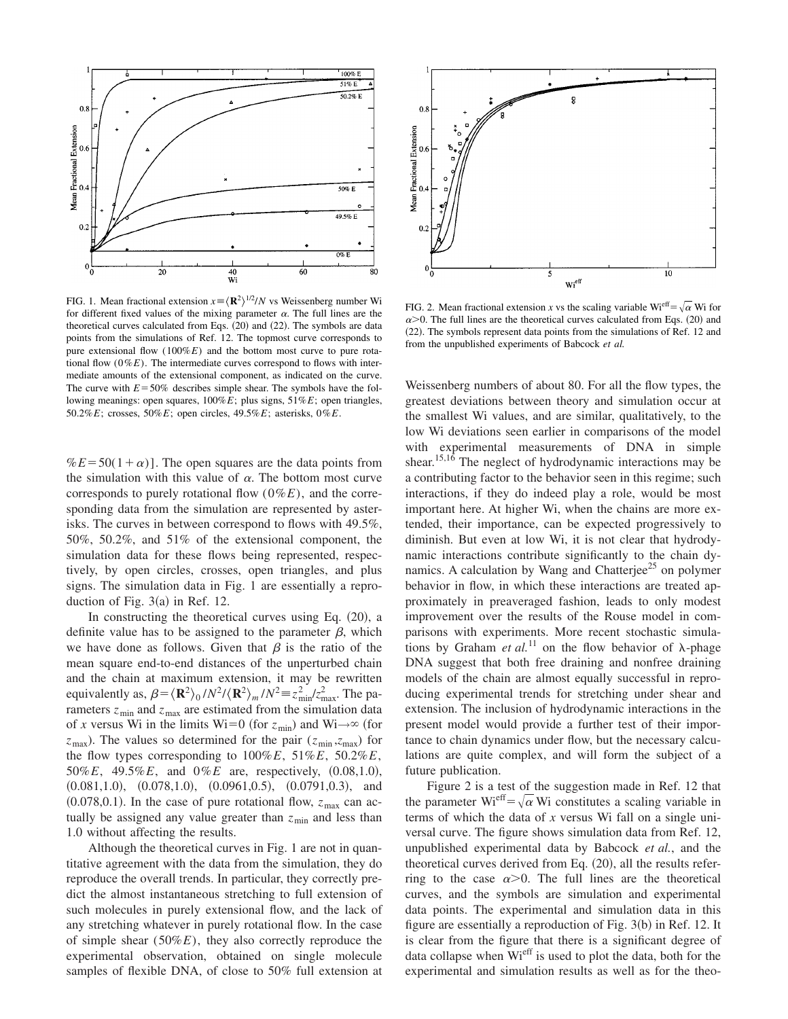

FIG. 1. Mean fractional extension  $x = \langle \mathbf{R}^2 \rangle^{1/2}/N$  vs Weissenberg number Wi for different fixed values of the mixing parameter  $\alpha$ . The full lines are the theoretical curves calculated from Eqs.  $(20)$  and  $(22)$ . The symbols are data points from the simulations of Ref. 12. The topmost curve corresponds to pure extensional flow (100%*E*) and the bottom most curve to pure rotational flow  $(0\%E)$ . The intermediate curves correspond to flows with intermediate amounts of the extensional component, as indicated on the curve. The curve with  $E = 50\%$  describes simple shear. The symbols have the following meanings: open squares, 100%*E*; plus signs, 51%*E*; open triangles, 50.2%*E*; crosses, 50%*E*; open circles, 49.5%*E*; asterisks, 0%*E*.

 $%E = 50(1+\alpha)$ . The open squares are the data points from the simulation with this value of  $\alpha$ . The bottom most curve corresponds to purely rotational flow (0%*E*), and the corresponding data from the simulation are represented by asterisks. The curves in between correspond to flows with 49.5%, 50%, 50.2%, and 51% of the extensional component, the simulation data for these flows being represented, respectively, by open circles, crosses, open triangles, and plus signs. The simulation data in Fig. 1 are essentially a reproduction of Fig.  $3(a)$  in Ref. 12.

In constructing the theoretical curves using Eq.  $(20)$ , a definite value has to be assigned to the parameter  $\beta$ , which we have done as follows. Given that  $\beta$  is the ratio of the mean square end-to-end distances of the unperturbed chain and the chain at maximum extension, it may be rewritten equivalently as,  $\beta = \langle \mathbf{R}^2 \rangle_0 / N^2 / \langle \mathbf{R}^2 \rangle_m / N^2 = z_{\text{min}}^2 / z_{\text{max}}^2$ . The parameters  $z_{\text{min}}$  and  $z_{\text{max}}$  are estimated from the simulation data of *x* versus Wi in the limits Wi=0 (for  $z_{\text{min}}$ ) and Wi $\rightarrow \infty$  (for  $z_{\text{max}}$ ). The values so determined for the pair ( $z_{\text{min}}$ , $z_{\text{max}}$ ) for the flow types corresponding to 100%*E*, 51%*E*, 50.2%*E*, 50%*E*, 49.5%*E*, and 0%*E* are, respectively,  $(0.08,1.0)$ ,  $(0.081,1.0), (0.078,1.0), (0.0961,0.5), (0.0791,0.3), and$  $(0.078,0.1)$ . In the case of pure rotational flow,  $z_{\text{max}}$  can actually be assigned any value greater than  $z_{\text{min}}$  and less than 1.0 without affecting the results.

Although the theoretical curves in Fig. 1 are not in quantitative agreement with the data from the simulation, they do reproduce the overall trends. In particular, they correctly predict the almost instantaneous stretching to full extension of such molecules in purely extensional flow, and the lack of any stretching whatever in purely rotational flow. In the case of simple shear (50%*E*), they also correctly reproduce the experimental observation, obtained on single molecule samples of flexible DNA, of close to 50% full extension at



FIG. 2. Mean fractional extension *x* vs the scaling variable Wi<sup>eff</sup> =  $\sqrt{\alpha}$  Wi for  $\alpha$  > 0. The full lines are the theoretical curves calculated from Eqs. (20) and (22). The symbols represent data points from the simulations of Ref. 12 and from the unpublished experiments of Babcock *et al.*

Weissenberg numbers of about 80. For all the flow types, the greatest deviations between theory and simulation occur at the smallest Wi values, and are similar, qualitatively, to the low Wi deviations seen earlier in comparisons of the model with experimental measurements of DNA in simple shear.<sup>15,16</sup> The neglect of hydrodynamic interactions may be a contributing factor to the behavior seen in this regime; such interactions, if they do indeed play a role, would be most important here. At higher Wi, when the chains are more extended, their importance, can be expected progressively to diminish. But even at low Wi, it is not clear that hydrodynamic interactions contribute significantly to the chain dynamics. A calculation by Wang and Chatterjee<sup>25</sup> on polymer behavior in flow, in which these interactions are treated approximately in preaveraged fashion, leads to only modest improvement over the results of the Rouse model in comparisons with experiments. More recent stochastic simulations by Graham *et al.*<sup>11</sup> on the flow behavior of  $\lambda$ -phage DNA suggest that both free draining and nonfree draining models of the chain are almost equally successful in reproducing experimental trends for stretching under shear and extension. The inclusion of hydrodynamic interactions in the present model would provide a further test of their importance to chain dynamics under flow, but the necessary calculations are quite complex, and will form the subject of a future publication.

Figure 2 is a test of the suggestion made in Ref. 12 that the parameter Wi<sup>eff</sup>= $\sqrt{\alpha}$  Wi constitutes a scaling variable in terms of which the data of *x* versus Wi fall on a single universal curve. The figure shows simulation data from Ref. 12, unpublished experimental data by Babcock *et al.*, and the theoretical curves derived from Eq.  $(20)$ , all the results referring to the case  $\alpha > 0$ . The full lines are the theoretical curves, and the symbols are simulation and experimental data points. The experimental and simulation data in this figure are essentially a reproduction of Fig.  $3(b)$  in Ref. 12. It is clear from the figure that there is a significant degree of data collapse when Wieff is used to plot the data, both for the experimental and simulation results as well as for the theo